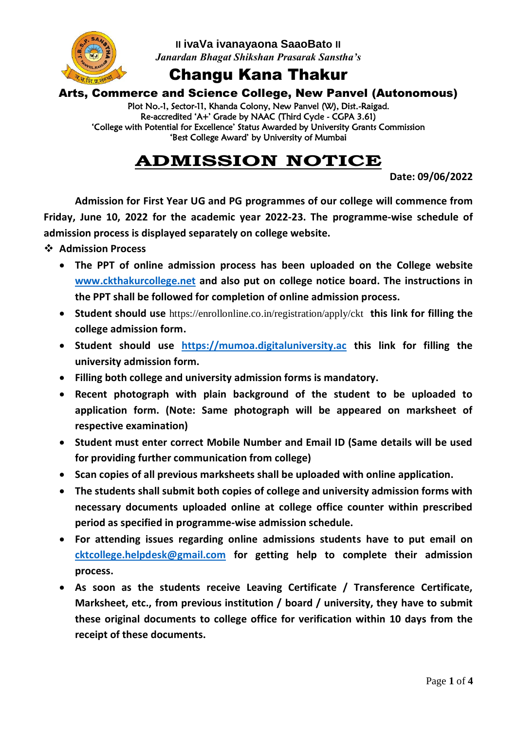

**II ivaVa ivanayaona SaaoBato II** *Janardan Bhagat Shikshan Prasarak Sanstha's*

## Changu Kana Thakur

#### Arts, Commerce and Science College, New Panvel (Autonomous)

Plot No.-1, Sector-11, Khanda Colony, New Panvel (W), Dist.-Raigad. Re-accredited 'A+' Grade by NAAC (Third Cycle - CGPA 3.61) 'College with Potential for Excellence' Status Awarded by University Grants Commission 'Best College Award' by University of Mumbai

## **ADMISSION NOTICE**

**Date: 09/06/2022**

**Admission for First Year UG and PG programmes of our college will commence from Friday, June 10, 2022 for the academic year 2022-23. The programme-wise schedule of admission process is displayed separately on college website.**

**Admission Process**

- **The PPT of online admission process has been uploaded on the College website [www.ckthakurcollege.net](http://www.ckthakurcollege.net/) and also put on college notice board. The instructions in the PPT shall be followed for completion of online admission process.**
- **Student should use** <https://enrollonline.co.in/registration/apply/ckt> **this link for filling the college admission form.**
- **Student should use [https://mumoa.digitaluniversity.ac](https://mumoa.digitaluniversity.ac/) this link for filling the university admission form.**
- **Filling both college and university admission forms is mandatory.**
- **Recent photograph with plain background of the student to be uploaded to application form. (Note: Same photograph will be appeared on marksheet of respective examination)**
- **Student must enter correct Mobile Number and Email ID (Same details will be used for providing further communication from college)**
- **Scan copies of all previous marksheets shall be uploaded with online application.**
- **The students shall submit both copies of college and university admission forms with necessary documents uploaded online at college office counter within prescribed period as specified in programme-wise admission schedule.**
- **For attending issues regarding online admissions students have to put email on [cktcollege.helpdesk@gmail.com](mailto:cktcollege.helpdesk@gmail.com) for getting help to complete their admission process.**
- **As soon as the students receive Leaving Certificate / Transference Certificate, Marksheet, etc., from previous institution / board / university, they have to submit these original documents to college office for verification within 10 days from the receipt of these documents.**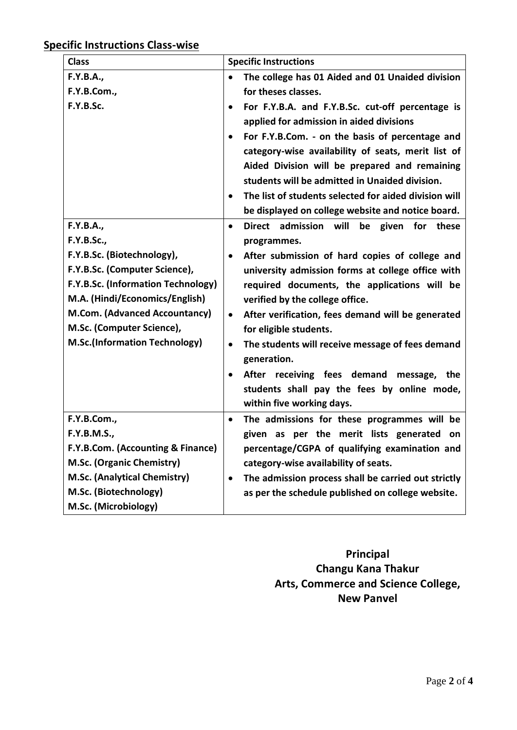### **Specific Instructions Class-wise**

| <b>Class</b>                                                                                                                                                                                                                                                                | <b>Specific Instructions</b>                                                                                                                                                                                                                                                                                                                                                                                                                                                                                                                                                                                                            |
|-----------------------------------------------------------------------------------------------------------------------------------------------------------------------------------------------------------------------------------------------------------------------------|-----------------------------------------------------------------------------------------------------------------------------------------------------------------------------------------------------------------------------------------------------------------------------------------------------------------------------------------------------------------------------------------------------------------------------------------------------------------------------------------------------------------------------------------------------------------------------------------------------------------------------------------|
| F.Y.B.A.,<br>F.Y.B.Com.,<br>F.Y.B.Sc.                                                                                                                                                                                                                                       | The college has 01 Aided and 01 Unaided division<br>$\bullet$<br>for theses classes.<br>For F.Y.B.A. and F.Y.B.Sc. cut-off percentage is<br>$\bullet$<br>applied for admission in aided divisions<br>For F.Y.B.Com. - on the basis of percentage and<br>$\bullet$<br>category-wise availability of seats, merit list of<br>Aided Division will be prepared and remaining<br>students will be admitted in Unaided division.<br>The list of students selected for aided division will<br>$\bullet$                                                                                                                                        |
| F.Y.B.A.,<br><b>F.Y.B.Sc.,</b><br>F.Y.B.Sc. (Biotechnology),<br>F.Y.B.Sc. (Computer Science),<br>F.Y.B.Sc. (Information Technology)<br>M.A. (Hindi/Economics/English)<br>M.Com. (Advanced Accountancy)<br>M.Sc. (Computer Science),<br><b>M.Sc.(Information Technology)</b> | be displayed on college website and notice board.<br>Direct admission will<br>be given for these<br>$\bullet$<br>programmes.<br>After submission of hard copies of college and<br>$\bullet$<br>university admission forms at college office with<br>required documents, the applications will be<br>verified by the college office.<br>After verification, fees demand will be generated<br>$\bullet$<br>for eligible students.<br>The students will receive message of fees demand<br>$\bullet$<br>generation.<br>After receiving fees demand message, the<br>students shall pay the fees by online mode,<br>within five working days. |
| F.Y.B.Com.,<br><b>F.Y.B.M.S.,</b><br>F.Y.B.Com. (Accounting & Finance)<br>M.Sc. (Organic Chemistry)<br>M.Sc. (Analytical Chemistry)<br>M.Sc. (Biotechnology)<br>M.Sc. (Microbiology)                                                                                        | The admissions for these programmes will be<br>$\bullet$<br>given as per the merit lists generated<br>on<br>percentage/CGPA of qualifying examination and<br>category-wise availability of seats.<br>The admission process shall be carried out strictly<br>$\bullet$<br>as per the schedule published on college website.                                                                                                                                                                                                                                                                                                              |

**Principal Changu Kana Thakur Arts, Commerce and Science College, New Panvel**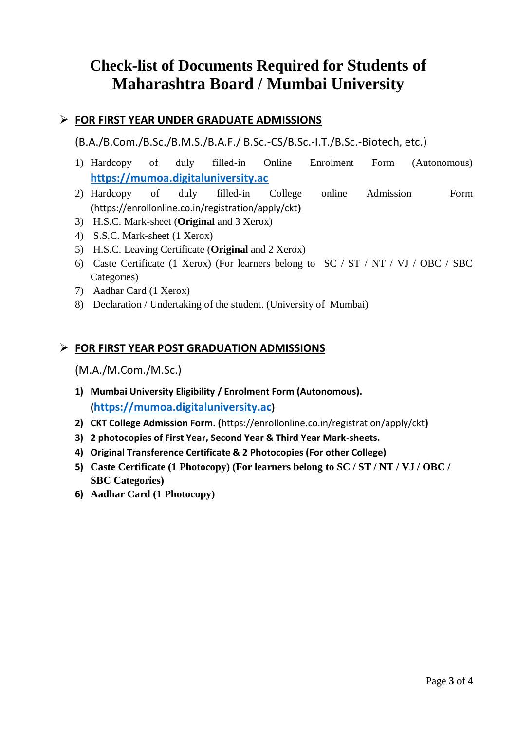# **Check-list of Documents Required for Students of Maharashtra Board / Mumbai University**

#### **FOR FIRST YEAR UNDER GRADUATE ADMISSIONS**

(B.A./B.Com./B.Sc./B.M.S./B.A.F./ B.Sc.-CS/B.Sc.-I.T./B.Sc.-Biotech, etc.)

- 1) Hardcopy of duly filled-in Online Enrolment Form (Autonomous) **[https://mumoa.digitaluniversity.ac](https://mumoa.digitaluniversity.ac/)**
- 2) Hardcopy of duly filled-in College online Admission Form **(**<https://enrollonline.co.in/registration/apply/ckt>**)**
- 3) H.S.C. Mark-sheet (**Original** and 3 Xerox)
- 4) S.S.C. Mark-sheet (1 Xerox)
- 5) H.S.C. Leaving Certificate (**Original** and 2 Xerox)
- 6) Caste Certificate (1 Xerox) (For learners belong to SC / ST / NT / VJ / OBC / SBC Categories)
- 7) Aadhar Card (1 Xerox)
- 8) Declaration / Undertaking of the student. (University of Mumbai)

#### **FOR FIRST YEAR POST GRADUATION ADMISSIONS**

(M.A./M.Com./M.Sc.)

- **1) Mumbai University Eligibility / Enrolment Form (Autonomous). ([https://mumoa.digitaluniversity.ac](https://mumoa.digitaluniversity.ac/))**
- **2) CKT College Admission Form. (**<https://enrollonline.co.in/registration/apply/ckt>**)**
- **3) 2 photocopies of First Year, Second Year & Third Year Mark-sheets.**
- **4) Original Transference Certificate & 2 Photocopies (For other College)**
- **5) Caste Certificate (1 Photocopy) (For learners belong to SC / ST / NT / VJ / OBC / SBC Categories)**
- **6) Aadhar Card (1 Photocopy)**